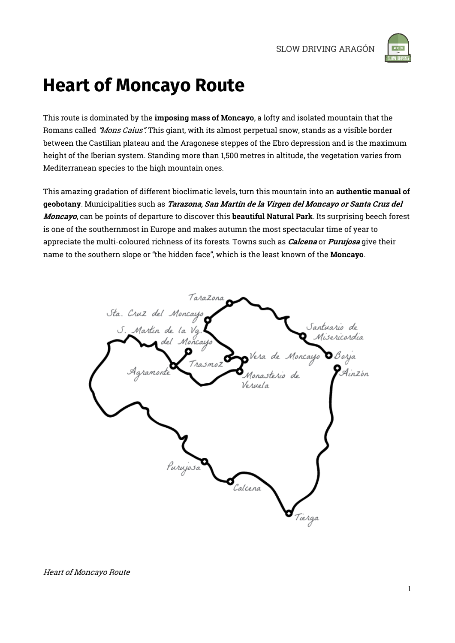

## **Heart of Moncayo Route**

This route is dominated by the imposing mass of Moncayo, a lofty and isolated mountain that the Romans called *"Mons Caius"*. This giant, with its almost perpetual snow, stands as a visible border between the Castilian plateau and the Aragonese steppes of the Ebro depression and is the maximum height of the Iberian system. Standing more than 1,500 metres in altitude, the vegetation varies from Mediterranean species to the high mountain ones.

This amazing gradation of different bioclimatic levels, turn this mountain into an authentic manual of geobotany. Municipalities such as Tarazona, San Martín de la Virgen del Moncayo or Santa Cruz del Moncayo, can be points of departure to discover this beautiful Natural Park. Its surprising beech forest is one of the southernmost in Europe and makes autumn the most spectacular time of year to appreciate the multi-coloured richness of its forests. Towns such as *Calcena* or *Purujosa* give their name to the southern slope or "the hidden face", which is the least known of the Moncayo.

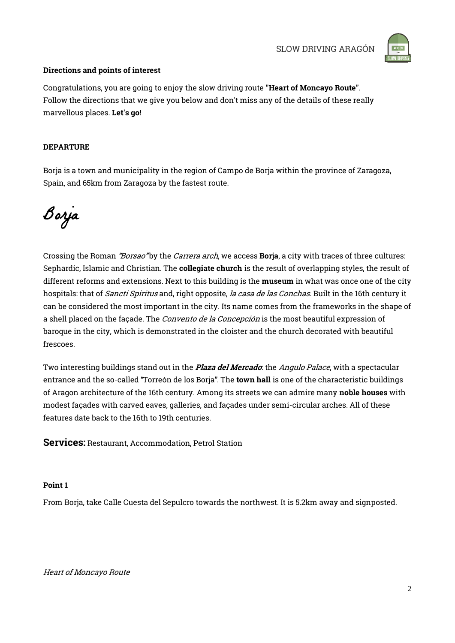

#### Directions and points of interest

Congratulations, you are going to enjoy the slow driving route "Heart of Moncayo Route". Follow the directions that we give you below and don't miss any of the details of these really marvellous places. Let's go!

#### DEPARTURE

Borja is a town and municipality in the region of Campo de Borja within the province of Zaragoza, Spain, and 65km from Zaragoza by the fastest route.

Borja

Crossing the Roman "Borsao" by the Carrera arch, we access **Borja**, a city with traces of three cultures: Sephardic, Islamic and Christian. The **collegiate church** is the result of overlapping styles, the result of different reforms and extensions. Next to this building is the museum in what was once one of the city hospitals: that of *Sancti Spiritus* and, right opposite, *la casa de las Conchas*. Built in the 16th century it can be considered the most important in the city. Its name comes from the frameworks in the shape of a shell placed on the façade. The *Convento de la Concepción* is the most beautiful expression of baroque in the city, which is demonstrated in the cloister and the church decorated with beautiful frescoes.

Two interesting buildings stand out in the *Plaza del Mercado*: the *Angulo Palace*, with a spectacular entrance and the so-called "Torreón de los Borja". The town hall is one of the characteristic buildings of Aragon architecture of the 16th century. Among its streets we can admire many noble houses with modest façades with carved eaves, galleries, and façades under semi-circular arches. All of these features date back to the 16th to 19th centuries.

Services: Restaurant, Accommodation, Petrol Station

#### Point 1

From Borja, take Calle Cuesta del Sepulcro towards the northwest. It is 5.2km away and signposted.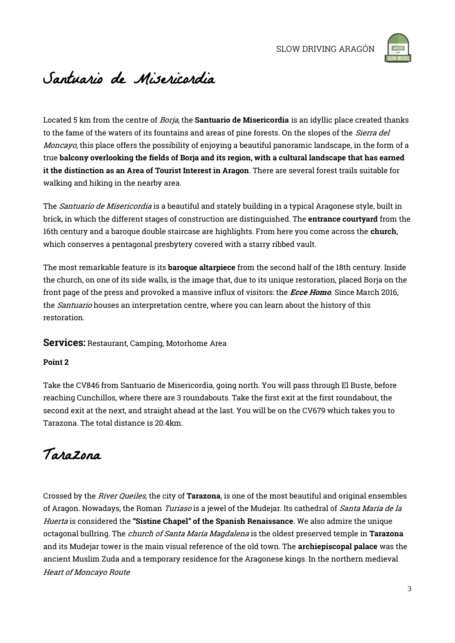

## Santuario de Misericordia

Located 5 km from the centre of *Borja*, the **Santuario de Misericordia** is an idyllic place created thanks to the fame of the waters of its fountains and areas of pine forests. On the slopes of the *Sierra del* Moncayo, this place offers the possibility of enjoying a beautiful panoramic landscape, in the form of a true balcony overlooking the fields of Borja and its region, with a cultural landscape that has earned it the distinction as an Area of Tourist Interest in Aragon. There are several forest trails suitable for walking and hiking in the nearby area.

The Santuario de Misericordia is a beautiful and stately building in a typical Aragonese style, built in brick, in which the different stages of construction are distinguished. The entrance courtyard from the 16th century and a baroque double staircase are highlights. From here you come across the **church**, which conserves a pentagonal presbytery covered with a starry ribbed vault.

The most remarkable feature is its **baroque altarpiece** from the second half of the 18th century. Inside the church, on one of its side walls, is the image that, due to its unique restoration, placed Borja on the front page of the press and provoked a massive influx of visitors: the *Ecce Homo*. Since March 2016, the *Santuario* houses an interpretation centre, where you can learn about the history of this restoration.

#### Services: Restaurant, Camping, Motorhome Area

#### Point 2

Take the CV846 from Santuario de Misericordia, going north. You will pass through El Buste, before reaching Cunchillos, where there are 3 roundabouts. Take the first exit at the first roundabout, the second exit at the next, and straight ahead at the last. You will be on the CV679 which takes you to Tarazona. The total distance is 20.4km.

## Tarazona

Heart of Moncayo Route Crossed by the *River Queiles*, the city of **Tarazona**, is one of the most beautiful and original ensembles of Aragon. Nowadays, the Roman Turiaso is a jewel of the Mudejar. Its cathedral of Santa María de la Huerta is considered the "Sistine Chapel" of the Spanish Renaissance. We also admire the unique octagonal bullring. The *church of Santa María Magdalena* is the oldest preserved temple in Tarazona and its Mudejar tower is the main visual reference of the old town. The archiepiscopal palace was the ancient Muslim Zuda and a temporary residence for the Aragonese kings. In the northern medieval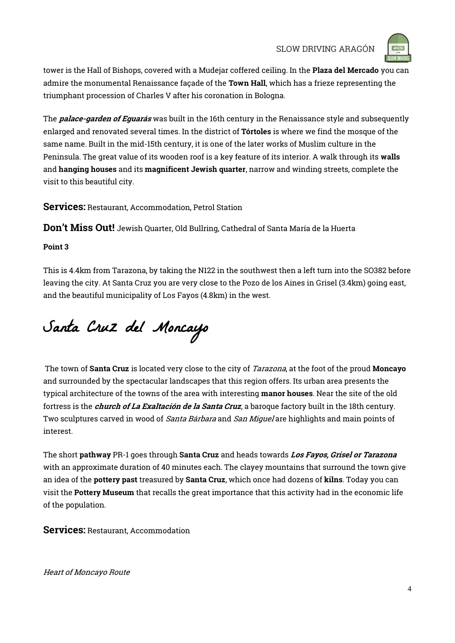

tower is the Hall of Bishops, covered with a Mudejar coffered ceiling. In the Plaza del Mercado you can admire the monumental Renaissance façade of the Town Hall, which has a frieze representing the triumphant procession of Charles V after his coronation in Bologna.

The **palace-garden of Eguarás** was built in the 16th century in the Renaissance style and subsequently enlarged and renovated several times. In the district of Tórtoles is where we find the mosque of the same name. Built in the mid-15th century, it is one of the later works of Muslim culture in the Peninsula. The great value of its wooden roof is a key feature of its interior. A walk through its walls and hanging houses and its magnificent Jewish quarter, narrow and winding streets, complete the visit to this beautiful city.

Services: Restaurant, Accommodation, Petrol Station

Don't Miss Out! Jewish Quarter, Old Bullring, Cathedral of Santa María de la Huerta

#### Point 3

This is 4.4km from Tarazona, by taking the N122 in the southwest then a left turn into the SO382 before leaving the city. At Santa Cruz you are very close to the Pozo de los Aines in Grisel (3.4km) going east, and the beautiful municipality of Los Fayos (4.8km) in the west.

# Santa Cruz del Moncayo

The town of **Santa Cruz** is located very close to the city of *Tarazona*, at the foot of the proud **Moncayo** and surrounded by the spectacular landscapes that this region offers. Its urban area presents the typical architecture of the towns of the area with interesting manor houses. Near the site of the old fortress is the *church of La Exaltación de la Santa Cruz*, a baroque factory built in the 18th century. Two sculptures carved in wood of *Santa Bárbara* and San Miquel are highlights and main points of interest.

The short pathway PR-1 goes through Santa Cruz and heads towards Los Fayos, Grisel or Tarazona with an approximate duration of 40 minutes each. The clayey mountains that surround the town give an idea of the pottery past treasured by Santa Cruz, which once had dozens of kilns. Today you can visit the Pottery Museum that recalls the great importance that this activity had in the economic life of the population.

Services: Restaurant, Accommodation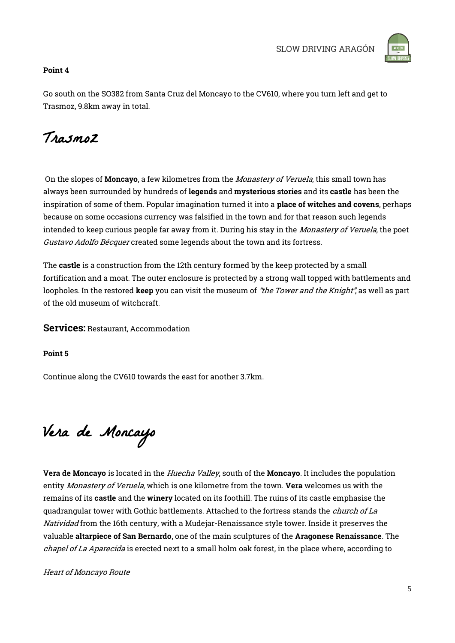

#### Point 4

Go south on the SO382 from Santa Cruz del Moncayo to the CV610, where you turn left and get to Trasmoz, 9.8km away in total.

## Trasmoz

On the slopes of Moncayo, a few kilometres from the Monastery of Veruela, this small town has always been surrounded by hundreds of legends and mysterious stories and its castle has been the inspiration of some of them. Popular imagination turned it into a place of witches and covens, perhaps because on some occasions currency was falsified in the town and for that reason such legends intended to keep curious people far away from it. During his stay in the *Monastery of Veruela*, the poet Gustavo Adolfo Bécquer created some legends about the town and its fortress.

The castle is a construction from the 12th century formed by the keep protected by a small fortification and a moat. The outer enclosure is protected by a strong wall topped with battlements and loopholes. In the restored keep you can visit the museum of "the Tower and the Knight", as well as part of the old museum of witchcraft.

Services: Restaurant, Accommodation

Point 5

Continue along the CV610 towards the east for another 3.7km.

Vera de Moncayo

Vera de Moncayo is located in the *Huecha Valley*, south of the Moncayo. It includes the population entity Monastery of Veruela, which is one kilometre from the town. Vera welcomes us with the remains of its castle and the winery located on its foothill. The ruins of its castle emphasise the quadrangular tower with Gothic battlements. Attached to the fortress stands the *church of La* Natividad from the 16th century, with a Mudejar-Renaissance style tower. Inside it preserves the valuable altarpiece of San Bernardo, one of the main sculptures of the Aragonese Renaissance. The chapel of La Aparecida is erected next to a small holm oak forest, in the place where, according to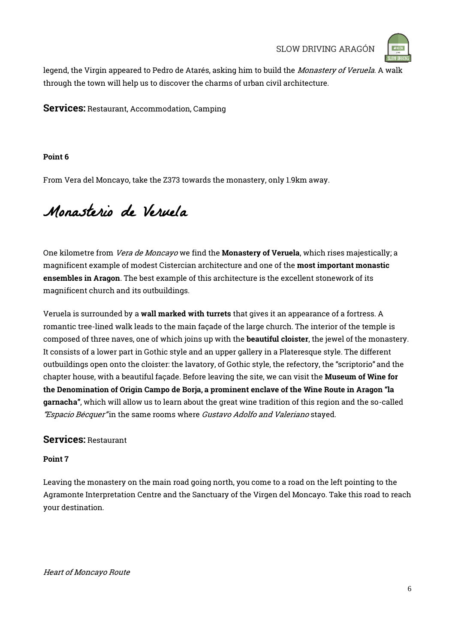

legend, the Virgin appeared to Pedro de Atarés, asking him to build the Monastery of Veruela. A walk through the town will help us to discover the charms of urban civil architecture.

Services: Restaurant, Accommodation, Camping

#### Point 6

From Vera del Moncayo, take the Z373 towards the monastery, only 1.9km away.

## Monasterio de Veruela

One kilometre from *Vera de Moncayo* we find the **Monastery of Veruela**, which rises majestically; a magnificent example of modest Cistercian architecture and one of the most important monastic ensembles in Aragon. The best example of this architecture is the excellent stonework of its magnificent church and its outbuildings.

Veruela is surrounded by a wall marked with turrets that gives it an appearance of a fortress. A romantic tree-lined walk leads to the main façade of the large church. The interior of the temple is composed of three naves, one of which joins up with the beautiful cloister, the jewel of the monastery. It consists of a lower part in Gothic style and an upper gallery in a Plateresque style. The different outbuildings open onto the cloister: the lavatory, of Gothic style, the refectory, the "scriptorio" and the chapter house, with a beautiful façade. Before leaving the site, we can visit the Museum of Wine for the Denomination of Origin Campo de Borja, a prominent enclave of the Wine Route in Aragon "la garnacha", which will allow us to learn about the great wine tradition of this region and the so-called "Espacio Bécquer"in the same rooms where Gustavo Adolfo and Valeriano stayed.

#### Services: Restaurant

#### Point 7

Leaving the monastery on the main road going north, you come to a road on the left pointing to the Agramonte Interpretation Centre and the Sanctuary of the Virgen del Moncayo. Take this road to reach your destination.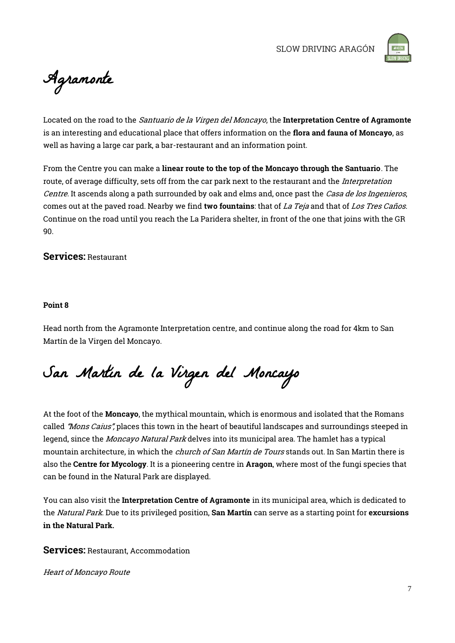

Agramonte

Located on the road to the *Santuario de la Virgen del Moncayo*, the Interpretation Centre of Agramonte is an interesting and educational place that offers information on the flora and fauna of Moncayo, as well as having a large car park, a bar-restaurant and an information point.

From the Centre you can make a linear route to the top of the Moncayo through the Santuario. The route, of average difficulty, sets off from the car park next to the restaurant and the Interpretation Centre. It ascends along a path surrounded by oak and elms and, once past the Casa de los Ingenieros, comes out at the paved road. Nearby we find two fountains: that of La Teja and that of Los Tres Caños. Continue on the road until you reach the La Paridera shelter, in front of the one that joins with the GR 90.

#### Services: Restaurant

#### Point 8

Head north from the Agramonte Interpretation centre, and continue along the road for 4km to San Martín de la Virgen del Moncayo.

San Martín de la Virgen del Moncayo

At the foot of the Moncayo, the mythical mountain, which is enormous and isolated that the Romans called "Mons Caius", places this town in the heart of beautiful landscapes and surroundings steeped in legend, since the *Moncayo Natural Park* delves into its municipal area. The hamlet has a typical mountain architecture, in which the *church of San Martín de Tours* stands out. In San Martin there is also the Centre for Mycology. It is a pioneering centre in Aragon, where most of the fungi species that can be found in the Natural Park are displayed.

You can also visit the Interpretation Centre of Agramonte in its municipal area, which is dedicated to the *Natural Park*. Due to its privileged position, San Martín can serve as a starting point for excursions in the Natural Park.

Services: Restaurant, Accommodation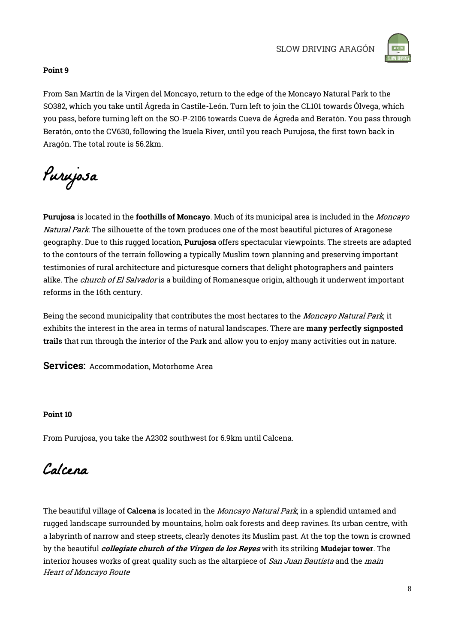

#### Point 9

From San Martín de la Virgen del Moncayo, return to the edge of the Moncayo Natural Park to the SO382, which you take until Ágreda in Castile-León. Turn left to join the CL101 towards Ólvega, which you pass, before turning left on the SO-P-2106 towards Cueva de Ágreda and Beratón. You pass through Beratón, onto the CV630, following the Isuela River, until you reach Purujosa, the first town back in Aragón. The total route is 56.2km.

Purujosa

Purujosa is located in the foothills of Moncayo. Much of its municipal area is included in the Moncayo Natural Park. The silhouette of the town produces one of the most beautiful pictures of Aragonese geography. Due to this rugged location, **Purujosa** offers spectacular viewpoints. The streets are adapted to the contours of the terrain following a typically Muslim town planning and preserving important testimonies of rural architecture and picturesque corners that delight photographers and painters alike. The *church of El Salvador* is a building of Romanesque origin, although it underwent important reforms in the 16th century.

Being the second municipality that contributes the most hectares to the Moncayo Natural Park, it exhibits the interest in the area in terms of natural landscapes. There are many perfectly signposted trails that run through the interior of the Park and allow you to enjoy many activities out in nature.

Services: Accommodation, Motorhome Area

#### Point 10

From Purujosa, you take the A2302 southwest for 6.9km until Calcena.

### Calcena

Heart of Moncayo Route The beautiful village of Calcena is located in the Moncayo Natural Park, in a splendid untamed and rugged landscape surrounded by mountains, holm oak forests and deep ravines. Its urban centre, with a labyrinth of narrow and steep streets, clearly denotes its Muslim past. At the top the town is crowned by the beautiful *collegiate church of the Virgen de los Reyes* with its striking Mudejar tower. The interior houses works of great quality such as the altarpiece of San Juan Bautista and the main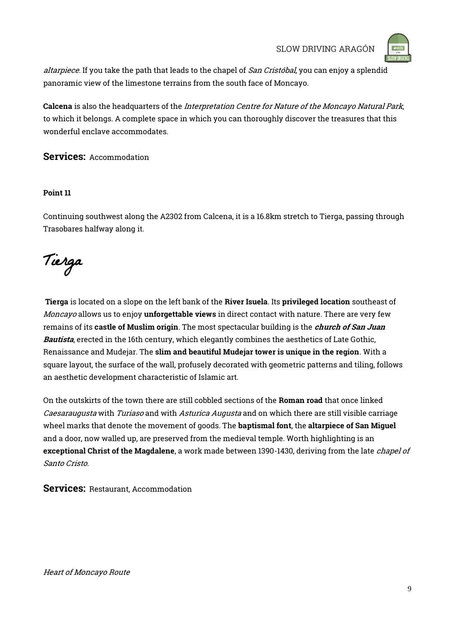

altarpiece. If you take the path that leads to the chapel of San Cristóbal, you can enjoy a splendid panoramic view of the limestone terrains from the south face of Moncayo.

Calcena is also the headquarters of the *Interpretation Centre for Nature of the Moncayo Natural Park*, to which it belongs. A complete space in which you can thoroughly discover the treasures that this wonderful enclave accommodates.

Services: Accommodation

#### Point 11

Continuing southwest along the A2302 from Calcena, it is a 16.8km stretch to Tierga, passing through Trasobares halfway along it.

Tierga

Tierga is located on a slope on the left bank of the River Isuela. Its privileged location southeast of Moncayo allows us to enjoy unforgettable views in direct contact with nature. There are very few remains of its castle of Muslim origin. The most spectacular building is the *church of San Juan* Bautista, erected in the 16th century, which elegantly combines the aesthetics of Late Gothic, Renaissance and Mudejar. The slim and beautiful Mudejar tower is unique in the region. With a square layout, the surface of the wall, profusely decorated with geometric patterns and tiling, follows an aesthetic development characteristic of Islamic art.

On the outskirts of the town there are still cobbled sections of the Roman road that once linked Caesaraugusta with Turiaso and with Asturica Augusta and on which there are still visible carriage wheel marks that denote the movement of goods. The **baptismal font**, the altarpiece of San Miguel and a door, now walled up, are preserved from the medieval temple. Worth highlighting is an exceptional Christ of the Magdalene, a work made between 1390-1430, deriving from the late *chapel of* Santo Cristo.

Services: Restaurant, Accommodation